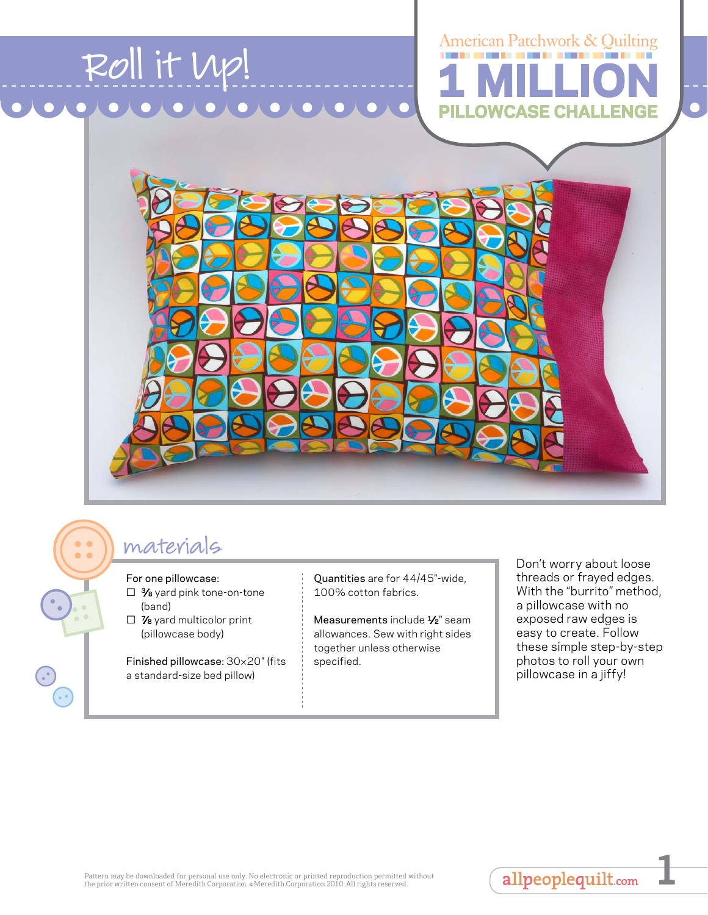

## materials

For one pillowcase:

- □ 3⁄8 yard pink tone-on-tone (band)
- □ *7*<sup>8</sup> yard multicolor print (pillowcase body)

Finished pillowcase: 30×20" (fits a standard-size bed pillow)

Quantities are for 44/45"-wide, 100% cotton fabrics.

Measurements include 1/<sub>2</sub>" seam allowances. Sew with right sides together unless otherwise specified.

Don't worry about loose threads or frayed edges. With the "burrito" method, a pillowcase with no exposed raw edges is easy to create. Follow these simple step-by-step photos to roll your own pillowcase in a jiffy!

allpeoplequilt.com

**1**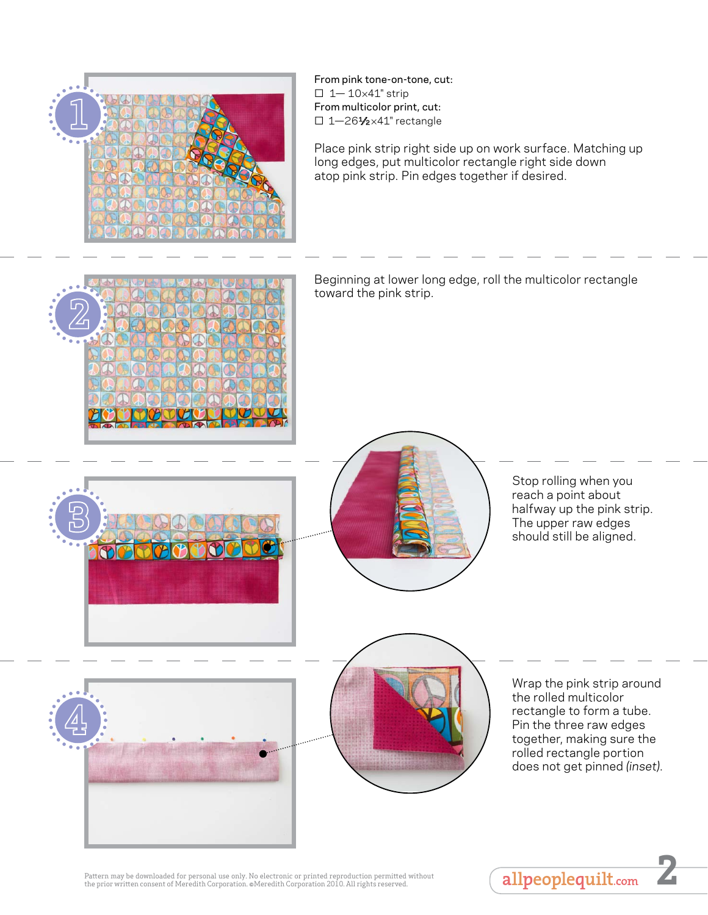

From pink tone-on-tone, cut:  $\square$  1-10×41" strip From multicolor print, cut: □ 1-261⁄2×41" rectangle

Place pink strip right side up on work surface. Matching up long edges, put multicolor rectangle right side down atop pink strip. Pin edges together if desired.



Beginning at lower long edge, roll the multicolor rectangle toward the pink strip.





Stop rolling when you reach a point about halfway up the pink strip. The upper raw edges should still be aligned.

Wrap the pink strip around the rolled multicolor rectangle to form a tube. Pin the three raw edges together, making sure the rolled rectangle portion does not get pinned *(inset)*.



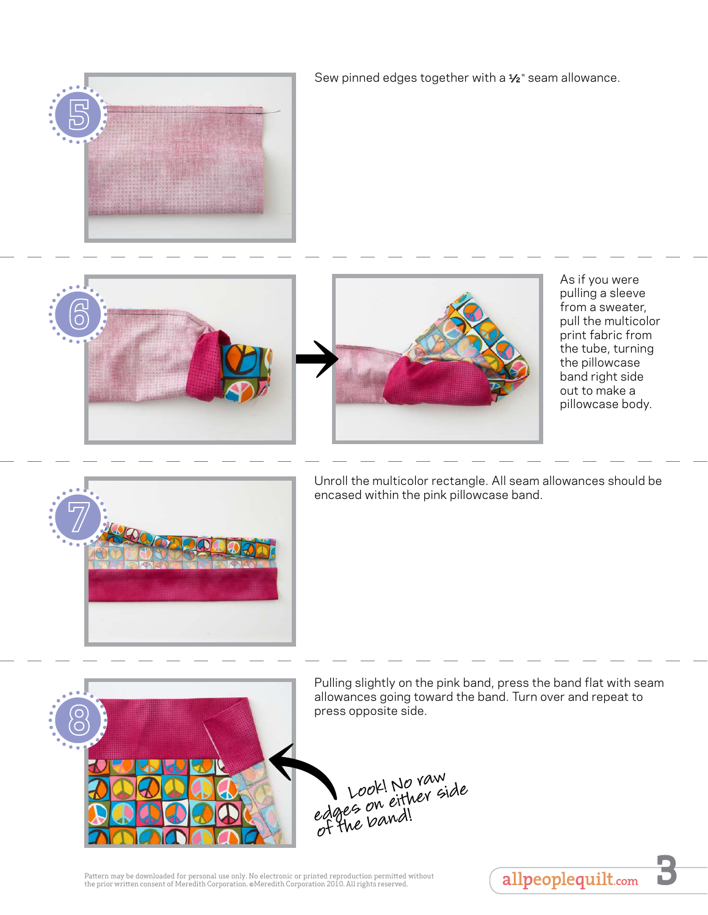

Sew pinned edges together with a 1/2" seam allowance.





As if you were pulling a sleeve from a sweater, pull the multicolor print fabric from the tube, turning the pillowcase band right side out to make a pillowcase body.



Unroll the multicolor rectangle. All seam allowances should be encased within the pink pillowcase band.



Pulling slightly on the pink band, press the band flat with seam allowances going toward the band. Turn over and repeat to press opposite side.



Pattern may be downloaded for personal use only. No electronic or printed reproduction permitted without Pattern may be downloaded for personal use only. No electronic or printed reproduction permitted without (allpeoplequilt.com )